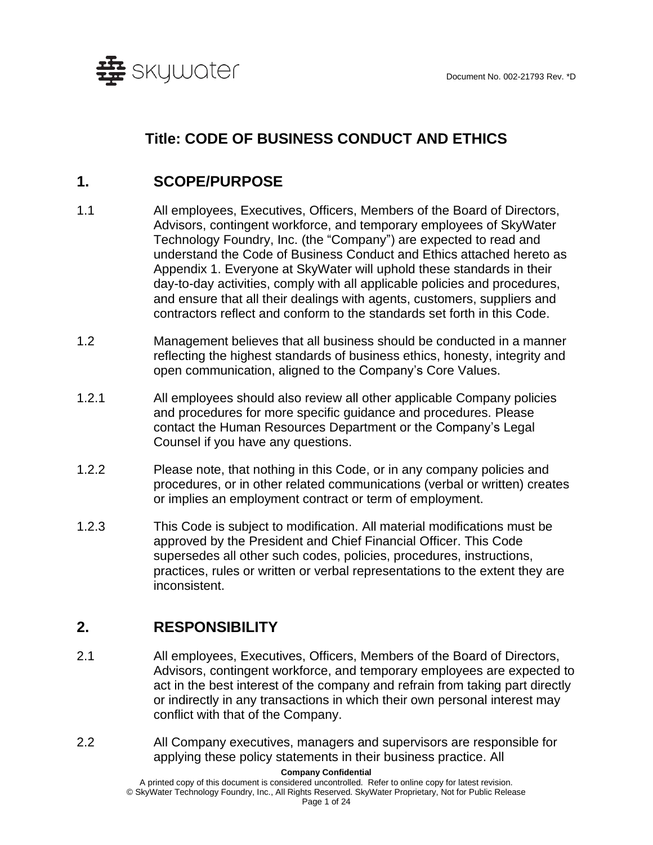

# **Title: CODE OF BUSINESS CONDUCT AND ETHICS**

## **1. SCOPE/PURPOSE**

- 1.1 All employees, Executives, Officers, Members of the Board of Directors, Advisors, contingent workforce, and temporary employees of SkyWater Technology Foundry, Inc. (the "Company") are expected to read and understand the Code of Business Conduct and Ethics attached hereto as Appendix 1. Everyone at SkyWater will uphold these standards in their day-to-day activities, comply with all applicable policies and procedures, and ensure that all their dealings with agents, customers, suppliers and contractors reflect and conform to the standards set forth in this Code.
- 1.2 Management believes that all business should be conducted in a manner reflecting the highest standards of business ethics, honesty, integrity and open communication, aligned to the Company's Core Values.
- 1.2.1 All employees should also review all other applicable Company policies and procedures for more specific guidance and procedures. Please contact the Human Resources Department or the Company's Legal Counsel if you have any questions.
- 1.2.2 Please note, that nothing in this Code, or in any company policies and procedures, or in other related communications (verbal or written) creates or implies an employment contract or term of employment.
- 1.2.3 This Code is subject to modification. All material modifications must be approved by the President and Chief Financial Officer. This Code supersedes all other such codes, policies, procedures, instructions, practices, rules or written or verbal representations to the extent they are inconsistent.

## **2. RESPONSIBILITY**

- 2.1 All employees, Executives, Officers, Members of the Board of Directors, Advisors, contingent workforce, and temporary employees are expected to act in the best interest of the company and refrain from taking part directly or indirectly in any transactions in which their own personal interest may conflict with that of the Company.
- 2.2 All Company executives, managers and supervisors are responsible for applying these policy statements in their business practice. All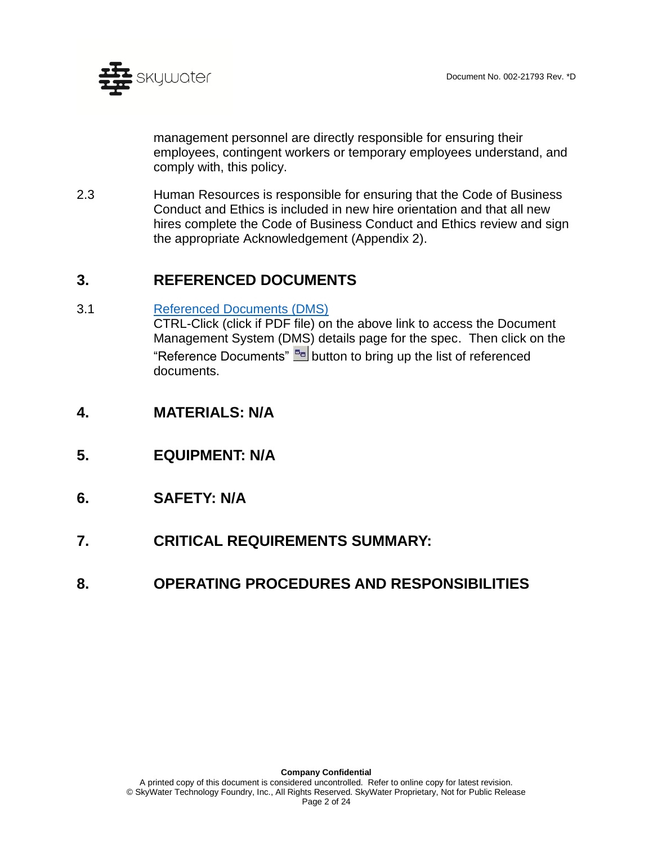

management personnel are directly responsible for ensuring their employees, contingent workers or temporary employees understand, and comply with, this policy.

2.3 Human Resources is responsible for ensuring that the Code of Business Conduct and Ethics is included in new hire orientation and that all new hires complete the Code of Business Conduct and Ethics review and sign the appropriate Acknowledgement (Appendix 2).

## **3. REFERENCED DOCUMENTS**

3.1 [Referenced Documents](http://doc.skywatertechnology.com/docdetails.do?parameter=submitsearch&submitsearch=docdetails&docnum=002-21793&searchresultsurl=/doclocate.do?) (DMS)

CTRL-Click (click if PDF file) on the above link to access the Document Management System (DMS) details page for the spec. Then click on the "Reference Documents" **Button to bring up the list of referenced** documents.

- **4. MATERIALS: N/A**
- **5. EQUIPMENT: N/A**
- **6. SAFETY: N/A**
- **7. CRITICAL REQUIREMENTS SUMMARY:**
- **8. OPERATING PROCEDURES AND RESPONSIBILITIES**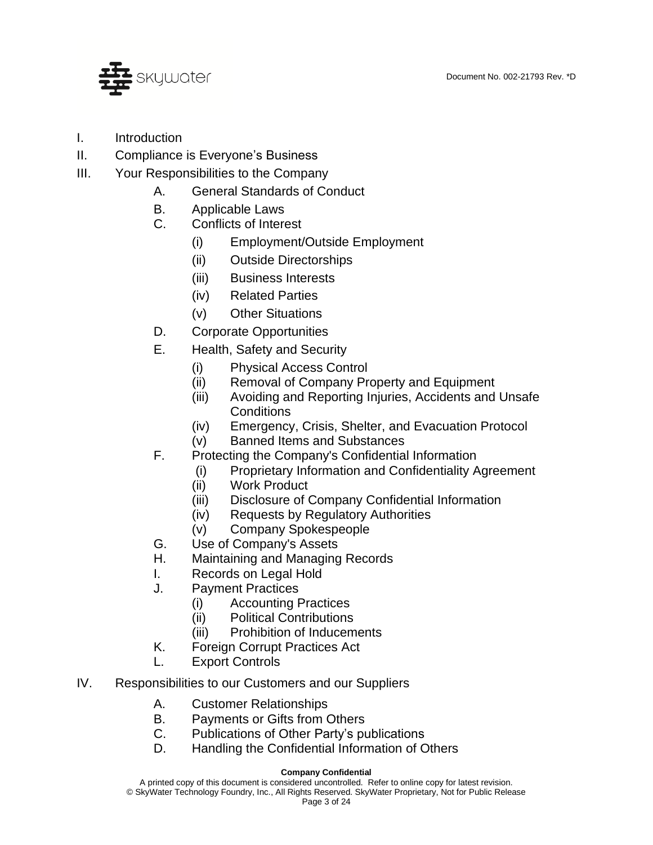

- I. Introduction
- II. Compliance is Everyone's Business
- III. Your Responsibilities to the Company
	- A. General Standards of Conduct
	- B. Applicable Laws
	- C. Conflicts of Interest
		- (i) Employment/Outside Employment
		- (ii) Outside Directorships
		- (iii) Business Interests
		- (iv) Related Parties
		- (v) Other Situations
	- D. Corporate Opportunities
	- E. Health, Safety and Security
		- (i) Physical Access Control
		- (ii) Removal of Company Property and Equipment
		- (iii) Avoiding and Reporting Injuries, Accidents and Unsafe **Conditions**
		- (iv) Emergency, Crisis, Shelter, and Evacuation Protocol
		- (v) Banned Items and Substances
	- F. Protecting the Company's Confidential Information
		- (i) Proprietary Information and Confidentiality Agreement
		- (ii) Work Product
		- (iii) Disclosure of Company Confidential Information
		- (iv) Requests by Regulatory Authorities
		- (v) Company Spokespeople
	- G. Use of Company's Assets
	- H. Maintaining and Managing Records
	- I. Records on Legal Hold
	- J. Payment Practices
		- (i) Accounting Practices
		- (ii) Political Contributions
		- (iii) Prohibition of Inducements
	- K. Foreign Corrupt Practices Act
	- L. Export Controls
- IV. Responsibilities to our Customers and our Suppliers
	- A. Customer Relationships
	- B. Payments or Gifts from Others
	- C. Publications of Other Party's publications
	- D. Handling the Confidential Information of Others

#### **Company Confidential**

A printed copy of this document is considered uncontrolled. Refer to online copy for latest revision. © SkyWater Technology Foundry, Inc., All Rights Reserved. SkyWater Proprietary, Not for Public Release Page 3 of 24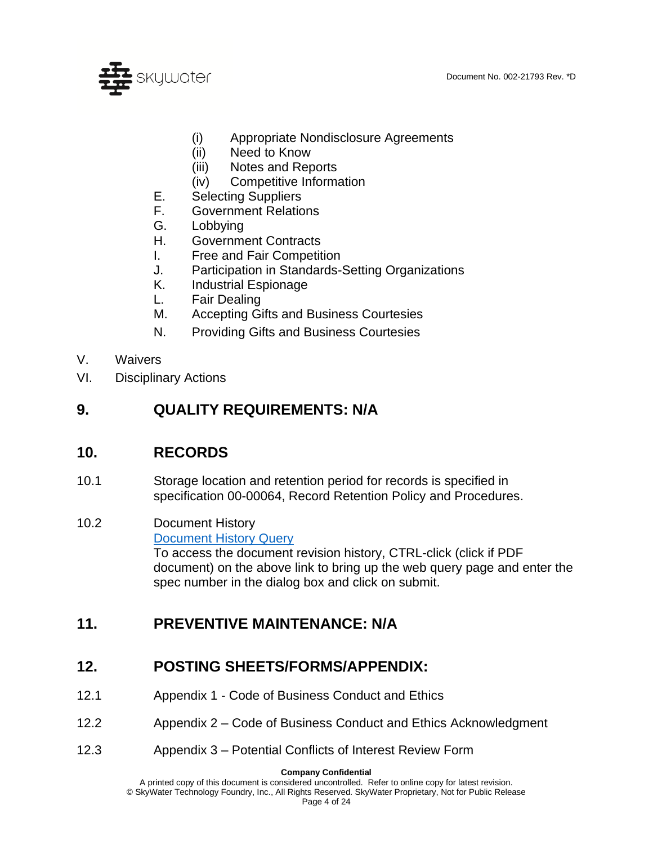

- (i) Appropriate Nondisclosure Agreements
- (ii) Need to Know
- (iii) Notes and Reports
- (iv) Competitive Information
- E. Selecting Suppliers
- F. Government Relations
- G. Lobbying
- H. Government Contracts
- I. Free and Fair Competition
- J. Participation in Standards-Setting Organizations
- K. Industrial Espionage
- L. Fair Dealing
- M. Accepting Gifts and Business Courtesies
- N. Providing Gifts and Business Courtesies
- V. Waivers
- VI. Disciplinary Actions

## **9. QUALITY REQUIREMENTS: N/A**

## **10. RECORDS**

10.1 Storage location and retention period for records is specified in specification 00-00064, Record Retention Policy and Procedures.

#### 10.2 Document History [Document History Query](http://change.skywatertechnology.com/changeMgmt-ecn/SQLReportServlet?report=ecn_history) To access the document revision history, CTRL-click (click if PDF document) on the above link to bring up the web query page and enter the spec number in the dialog box and click on submit.

## **11. PREVENTIVE MAINTENANCE: N/A**

## **12. POSTING SHEETS/FORMS/APPENDIX:**

- 12.1 Appendix 1 Code of Business Conduct and Ethics
- 12.2 Appendix 2 Code of Business Conduct and Ethics Acknowledgment
- 12.3 Appendix 3 Potential Conflicts of Interest Review Form

**Company Confidential**

A printed copy of this document is considered uncontrolled. Refer to online copy for latest revision. © SkyWater Technology Foundry, Inc., All Rights Reserved. SkyWater Proprietary, Not for Public Release

Page 4 of 24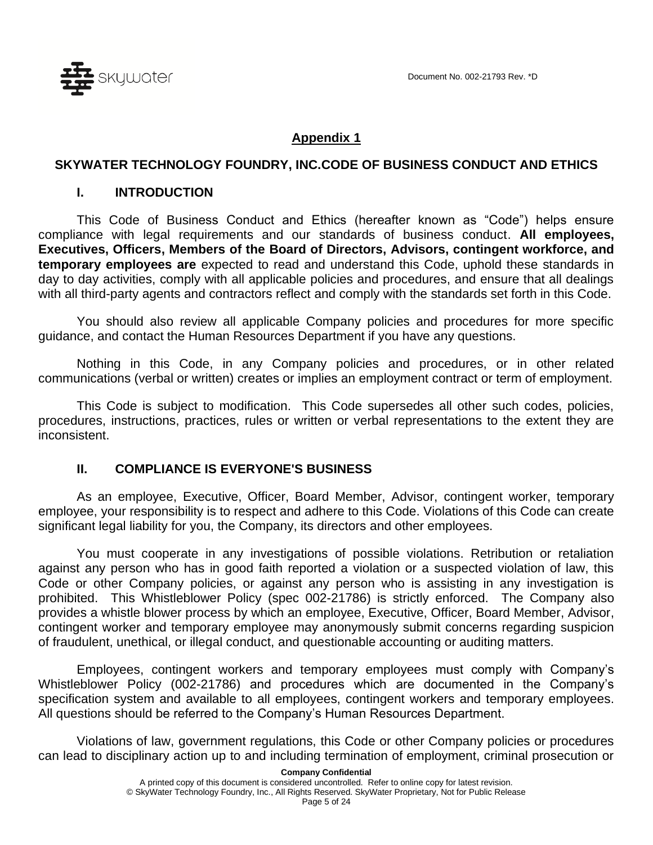

#### **Appendix 1**

#### **SKYWATER TECHNOLOGY FOUNDRY, INC.CODE OF BUSINESS CONDUCT AND ETHICS**

#### **I. INTRODUCTION**

This Code of Business Conduct and Ethics (hereafter known as "Code") helps ensure compliance with legal requirements and our standards of business conduct. **All employees, Executives, Officers, Members of the Board of Directors, Advisors, contingent workforce, and temporary employees are** expected to read and understand this Code, uphold these standards in day to day activities, comply with all applicable policies and procedures, and ensure that all dealings with all third-party agents and contractors reflect and comply with the standards set forth in this Code.

You should also review all applicable Company policies and procedures for more specific guidance, and contact the Human Resources Department if you have any questions.

Nothing in this Code, in any Company policies and procedures, or in other related communications (verbal or written) creates or implies an employment contract or term of employment.

This Code is subject to modification. This Code supersedes all other such codes, policies, procedures, instructions, practices, rules or written or verbal representations to the extent they are inconsistent.

#### **II. COMPLIANCE IS EVERYONE'S BUSINESS**

As an employee, Executive, Officer, Board Member, Advisor, contingent worker, temporary employee, your responsibility is to respect and adhere to this Code. Violations of this Code can create significant legal liability for you, the Company, its directors and other employees.

You must cooperate in any investigations of possible violations. Retribution or retaliation against any person who has in good faith reported a violation or a suspected violation of law, this Code or other Company policies, or against any person who is assisting in any investigation is prohibited. This Whistleblower Policy (spec 002-21786) is strictly enforced. The Company also provides a whistle blower process by which an employee, Executive, Officer, Board Member, Advisor, contingent worker and temporary employee may anonymously submit concerns regarding suspicion of fraudulent, unethical, or illegal conduct, and questionable accounting or auditing matters.

Employees, contingent workers and temporary employees must comply with Company's Whistleblower Policy (002-21786) and procedures which are documented in the Company's specification system and available to all employees, contingent workers and temporary employees. All questions should be referred to the Company's Human Resources Department.

Violations of law, government regulations, this Code or other Company policies or procedures can lead to disciplinary action up to and including termination of employment, criminal prosecution or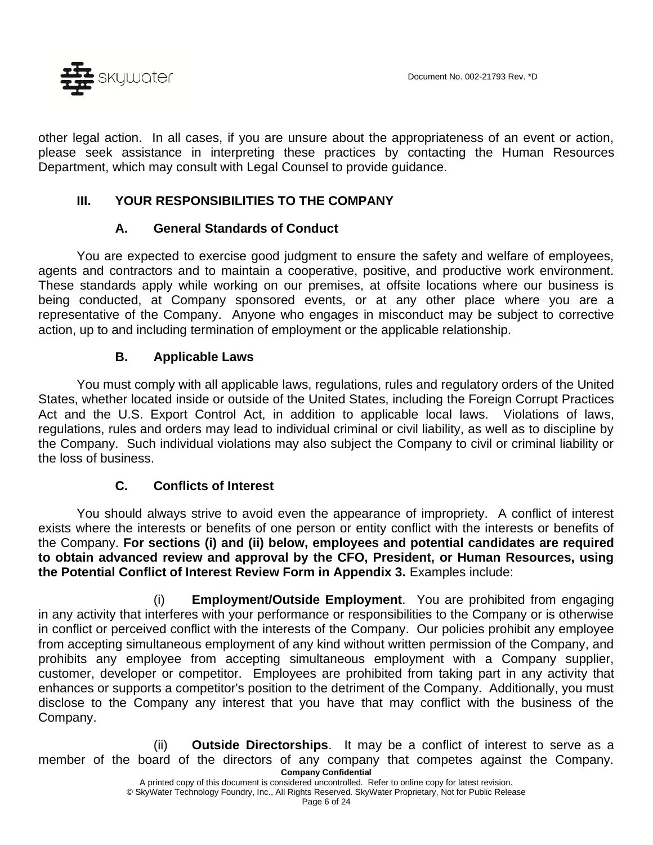

other legal action. In all cases, if you are unsure about the appropriateness of an event or action, please seek assistance in interpreting these practices by contacting the Human Resources Department, which may consult with Legal Counsel to provide guidance.

### **III. YOUR RESPONSIBILITIES TO THE COMPANY**

#### **A. General Standards of Conduct**

You are expected to exercise good judgment to ensure the safety and welfare of employees, agents and contractors and to maintain a cooperative, positive, and productive work environment. These standards apply while working on our premises, at offsite locations where our business is being conducted, at Company sponsored events, or at any other place where you are a representative of the Company. Anyone who engages in misconduct may be subject to corrective action, up to and including termination of employment or the applicable relationship.

#### **B. Applicable Laws**

You must comply with all applicable laws, regulations, rules and regulatory orders of the United States, whether located inside or outside of the United States, including the Foreign Corrupt Practices Act and the U.S. Export Control Act, in addition to applicable local laws. Violations of laws, regulations, rules and orders may lead to individual criminal or civil liability, as well as to discipline by the Company. Such individual violations may also subject the Company to civil or criminal liability or the loss of business.

### **C. Conflicts of Interest**

You should always strive to avoid even the appearance of impropriety. A conflict of interest exists where the interests or benefits of one person or entity conflict with the interests or benefits of the Company. **For sections (i) and (ii) below, employees and potential candidates are required to obtain advanced review and approval by the CFO, President, or Human Resources, using the Potential Conflict of Interest Review Form in Appendix 3.** Examples include:

(i) **Employment/Outside Employment**. You are prohibited from engaging in any activity that interferes with your performance or responsibilities to the Company or is otherwise in conflict or perceived conflict with the interests of the Company. Our policies prohibit any employee from accepting simultaneous employment of any kind without written permission of the Company, and prohibits any employee from accepting simultaneous employment with a Company supplier, customer, developer or competitor. Employees are prohibited from taking part in any activity that enhances or supports a competitor's position to the detriment of the Company. Additionally, you must disclose to the Company any interest that you have that may conflict with the business of the Company.

**Company Confidential** (ii) **Outside Directorships**. It may be a conflict of interest to serve as a member of the board of the directors of any company that competes against the Company.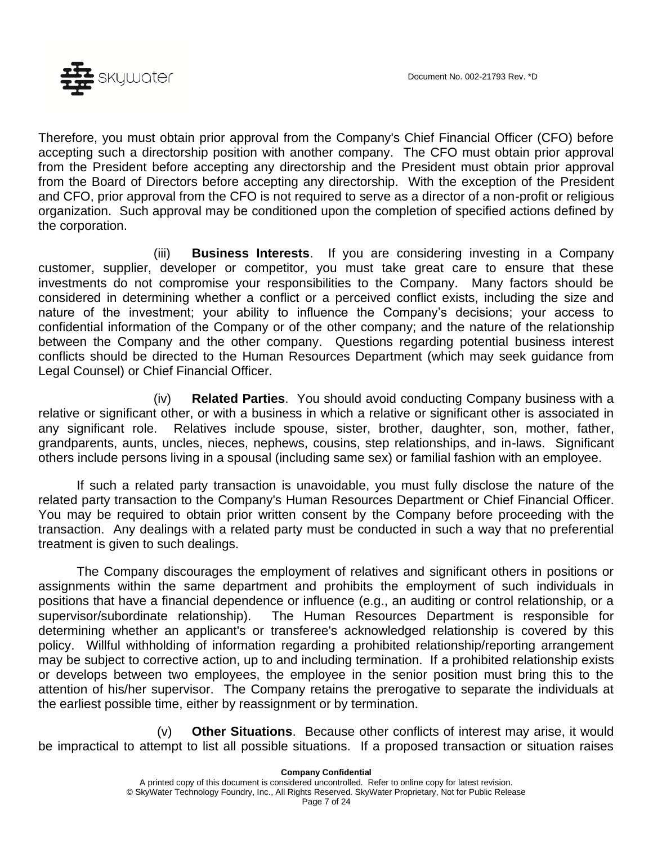

Therefore, you must obtain prior approval from the Company's Chief Financial Officer (CFO) before accepting such a directorship position with another company. The CFO must obtain prior approval from the President before accepting any directorship and the President must obtain prior approval from the Board of Directors before accepting any directorship. With the exception of the President and CFO, prior approval from the CFO is not required to serve as a director of a non-profit or religious organization. Such approval may be conditioned upon the completion of specified actions defined by the corporation.

(iii) **Business Interests**. If you are considering investing in a Company customer, supplier, developer or competitor, you must take great care to ensure that these investments do not compromise your responsibilities to the Company. Many factors should be considered in determining whether a conflict or a perceived conflict exists, including the size and nature of the investment; your ability to influence the Company's decisions; your access to confidential information of the Company or of the other company; and the nature of the relationship between the Company and the other company. Questions regarding potential business interest conflicts should be directed to the Human Resources Department (which may seek guidance from Legal Counsel) or Chief Financial Officer.

(iv) **Related Parties**. You should avoid conducting Company business with a relative or significant other, or with a business in which a relative or significant other is associated in any significant role. Relatives include spouse, sister, brother, daughter, son, mother, father, grandparents, aunts, uncles, nieces, nephews, cousins, step relationships, and in-laws. Significant others include persons living in a spousal (including same sex) or familial fashion with an employee.

If such a related party transaction is unavoidable, you must fully disclose the nature of the related party transaction to the Company's Human Resources Department or Chief Financial Officer. You may be required to obtain prior written consent by the Company before proceeding with the transaction. Any dealings with a related party must be conducted in such a way that no preferential treatment is given to such dealings.

The Company discourages the employment of relatives and significant others in positions or assignments within the same department and prohibits the employment of such individuals in positions that have a financial dependence or influence (e.g., an auditing or control relationship, or a supervisor/subordinate relationship). The Human Resources Department is responsible for determining whether an applicant's or transferee's acknowledged relationship is covered by this policy. Willful withholding of information regarding a prohibited relationship/reporting arrangement may be subject to corrective action, up to and including termination. If a prohibited relationship exists or develops between two employees, the employee in the senior position must bring this to the attention of his/her supervisor. The Company retains the prerogative to separate the individuals at the earliest possible time, either by reassignment or by termination.

(v) **Other Situations**. Because other conflicts of interest may arise, it would be impractical to attempt to list all possible situations. If a proposed transaction or situation raises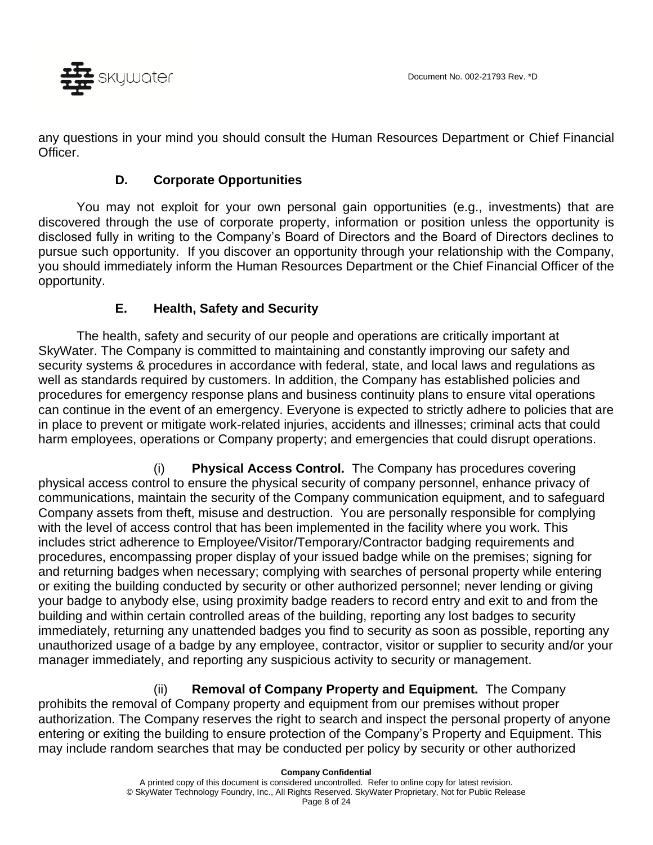

any questions in your mind you should consult the Human Resources Department or Chief Financial Officer.

### **D. Corporate Opportunities**

You may not exploit for your own personal gain opportunities (e.g., investments) that are discovered through the use of corporate property, information or position unless the opportunity is disclosed fully in writing to the Company's Board of Directors and the Board of Directors declines to pursue such opportunity. If you discover an opportunity through your relationship with the Company, you should immediately inform the Human Resources Department or the Chief Financial Officer of the opportunity.

### **E. Health, Safety and Security**

The health, safety and security of our people and operations are critically important at SkyWater. The Company is committed to maintaining and constantly improving our safety and security systems & procedures in accordance with federal, state, and local laws and regulations as well as standards required by customers. In addition, the Company has established policies and procedures for emergency response plans and business continuity plans to ensure vital operations can continue in the event of an emergency. Everyone is expected to strictly adhere to policies that are in place to prevent or mitigate work-related injuries, accidents and illnesses; criminal acts that could harm employees, operations or Company property; and emergencies that could disrupt operations.

(i) **Physical Access Control.** The Company has procedures covering physical access control to ensure the physical security of company personnel, enhance privacy of communications, maintain the security of the Company communication equipment, and to safeguard Company assets from theft, misuse and destruction. You are personally responsible for complying with the level of access control that has been implemented in the facility where you work. This includes strict adherence to Employee/Visitor/Temporary/Contractor badging requirements and procedures, encompassing proper display of your issued badge while on the premises; signing for and returning badges when necessary; complying with searches of personal property while entering or exiting the building conducted by security or other authorized personnel; never lending or giving your badge to anybody else, using proximity badge readers to record entry and exit to and from the building and within certain controlled areas of the building, reporting any lost badges to security immediately, returning any unattended badges you find to security as soon as possible, reporting any unauthorized usage of a badge by any employee, contractor, visitor or supplier to security and/or your manager immediately, and reporting any suspicious activity to security or management.

(ii) **Removal of Company Property and Equipment.** The Company prohibits the removal of Company property and equipment from our premises without proper authorization. The Company reserves the right to search and inspect the personal property of anyone entering or exiting the building to ensure protection of the Company's Property and Equipment. This may include random searches that may be conducted per policy by security or other authorized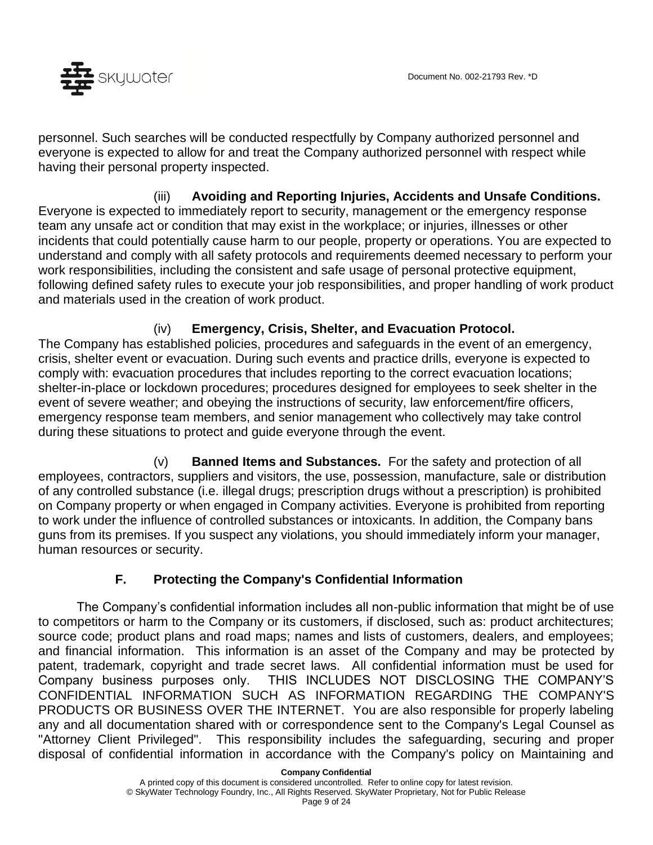

personnel. Such searches will be conducted respectfully by Company authorized personnel and everyone is expected to allow for and treat the Company authorized personnel with respect while having their personal property inspected.

(iii) **Avoiding and Reporting Injuries, Accidents and Unsafe Conditions.** Everyone is expected to immediately report to security, management or the emergency response team any unsafe act or condition that may exist in the workplace; or injuries, illnesses or other incidents that could potentially cause harm to our people, property or operations. You are expected to understand and comply with all safety protocols and requirements deemed necessary to perform your work responsibilities, including the consistent and safe usage of personal protective equipment, following defined safety rules to execute your job responsibilities, and proper handling of work product and materials used in the creation of work product.

(iv) **Emergency, Crisis, Shelter, and Evacuation Protocol.** The Company has established policies, procedures and safeguards in the event of an emergency, crisis, shelter event or evacuation. During such events and practice drills, everyone is expected to comply with: evacuation procedures that includes reporting to the correct evacuation locations; shelter-in-place or lockdown procedures; procedures designed for employees to seek shelter in the event of severe weather; and obeying the instructions of security, law enforcement/fire officers, emergency response team members, and senior management who collectively may take control during these situations to protect and guide everyone through the event.

(v) **Banned Items and Substances.** For the safety and protection of all employees, contractors, suppliers and visitors, the use, possession, manufacture, sale or distribution of any controlled substance (i.e. illegal drugs; prescription drugs without a prescription) is prohibited on Company property or when engaged in Company activities. Everyone is prohibited from reporting to work under the influence of controlled substances or intoxicants. In addition, the Company bans guns from its premises. If you suspect any violations, you should immediately inform your manager, human resources or security.

## **F. Protecting the Company's Confidential Information**

The Company's confidential information includes all non-public information that might be of use to competitors or harm to the Company or its customers, if disclosed, such as: product architectures; source code; product plans and road maps; names and lists of customers, dealers, and employees; and financial information. This information is an asset of the Company and may be protected by patent, trademark, copyright and trade secret laws. All confidential information must be used for Company business purposes only. THIS INCLUDES NOT DISCLOSING THE COMPANY'S CONFIDENTIAL INFORMATION SUCH AS INFORMATION REGARDING THE COMPANY'S PRODUCTS OR BUSINESS OVER THE INTERNET. You are also responsible for properly labeling any and all documentation shared with or correspondence sent to the Company's Legal Counsel as "Attorney Client Privileged". This responsibility includes the safeguarding, securing and proper disposal of confidential information in accordance with the Company's policy on Maintaining and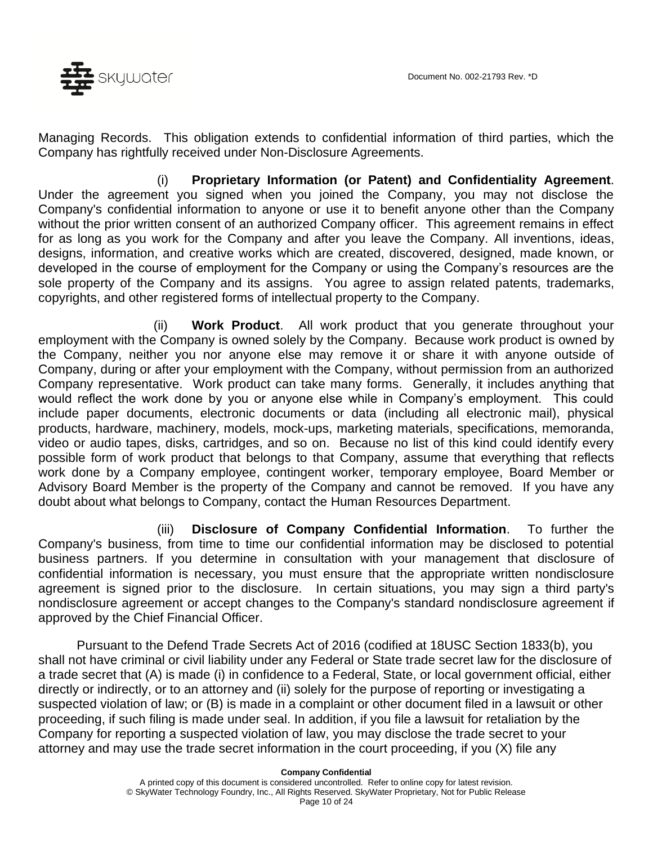

Managing Records. This obligation extends to confidential information of third parties, which the Company has rightfully received under Non-Disclosure Agreements.

(i) **Proprietary Information (or Patent) and Confidentiality Agreement**. Under the agreement you signed when you joined the Company, you may not disclose the Company's confidential information to anyone or use it to benefit anyone other than the Company without the prior written consent of an authorized Company officer. This agreement remains in effect for as long as you work for the Company and after you leave the Company. All inventions, ideas, designs, information, and creative works which are created, discovered, designed, made known, or developed in the course of employment for the Company or using the Company's resources are the sole property of the Company and its assigns. You agree to assign related patents, trademarks, copyrights, and other registered forms of intellectual property to the Company.

(ii) **Work Product**. All work product that you generate throughout your employment with the Company is owned solely by the Company. Because work product is owned by the Company, neither you nor anyone else may remove it or share it with anyone outside of Company, during or after your employment with the Company, without permission from an authorized Company representative. Work product can take many forms. Generally, it includes anything that would reflect the work done by you or anyone else while in Company's employment. This could include paper documents, electronic documents or data (including all electronic mail), physical products, hardware, machinery, models, mock-ups, marketing materials, specifications, memoranda, video or audio tapes, disks, cartridges, and so on. Because no list of this kind could identify every possible form of work product that belongs to that Company, assume that everything that reflects work done by a Company employee, contingent worker, temporary employee, Board Member or Advisory Board Member is the property of the Company and cannot be removed. If you have any doubt about what belongs to Company, contact the Human Resources Department.

(iii) **Disclosure of Company Confidential Information**. To further the Company's business, from time to time our confidential information may be disclosed to potential business partners. If you determine in consultation with your management that disclosure of confidential information is necessary, you must ensure that the appropriate written nondisclosure agreement is signed prior to the disclosure. In certain situations, you may sign a third party's nondisclosure agreement or accept changes to the Company's standard nondisclosure agreement if approved by the Chief Financial Officer.

Pursuant to the Defend Trade Secrets Act of 2016 (codified at 18USC Section 1833(b), you shall not have criminal or civil liability under any Federal or State trade secret law for the disclosure of a trade secret that (A) is made (i) in confidence to a Federal, State, or local government official, either directly or indirectly, or to an attorney and (ii) solely for the purpose of reporting or investigating a suspected violation of law; or (B) is made in a complaint or other document filed in a lawsuit or other proceeding, if such filing is made under seal. In addition, if you file a lawsuit for retaliation by the Company for reporting a suspected violation of law, you may disclose the trade secret to your attorney and may use the trade secret information in the court proceeding, if you (X) file any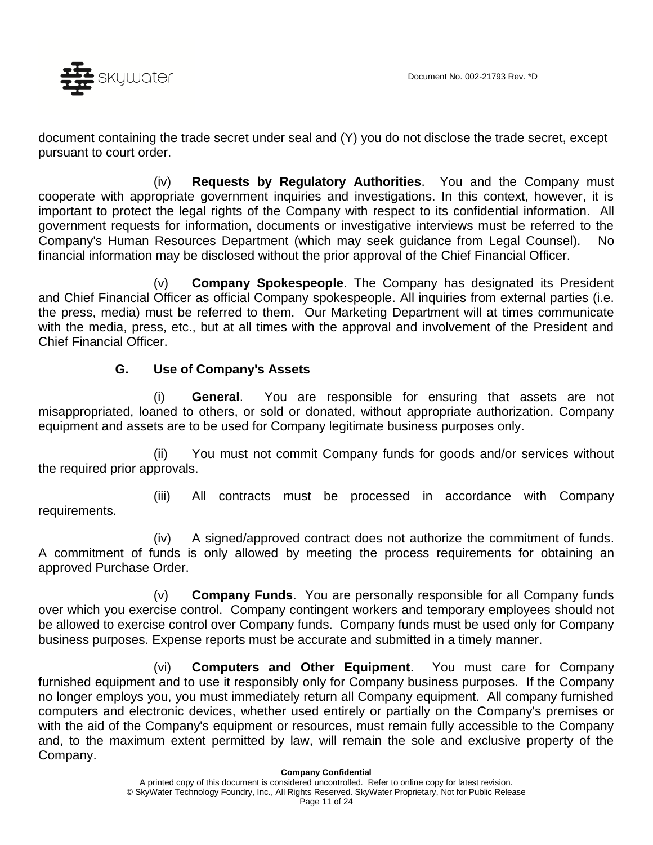

document containing the trade secret under seal and (Y) you do not disclose the trade secret, except pursuant to court order.

(iv) **Requests by Regulatory Authorities**. You and the Company must cooperate with appropriate government inquiries and investigations. In this context, however, it is important to protect the legal rights of the Company with respect to its confidential information. All government requests for information, documents or investigative interviews must be referred to the Company's Human Resources Department (which may seek guidance from Legal Counsel). No financial information may be disclosed without the prior approval of the Chief Financial Officer.

(v) **Company Spokespeople**. The Company has designated its President and Chief Financial Officer as official Company spokespeople. All inquiries from external parties (i.e. the press, media) must be referred to them. Our Marketing Department will at times communicate with the media, press, etc., but at all times with the approval and involvement of the President and Chief Financial Officer.

#### **G. Use of Company's Assets**

(i) **General**. You are responsible for ensuring that assets are not misappropriated, loaned to others, or sold or donated, without appropriate authorization. Company equipment and assets are to be used for Company legitimate business purposes only.

(ii) You must not commit Company funds for goods and/or services without the required prior approvals.

requirements.

(iii) All contracts must be processed in accordance with Company

(iv) A signed/approved contract does not authorize the commitment of funds. A commitment of funds is only allowed by meeting the process requirements for obtaining an approved Purchase Order.

(v) **Company Funds**. You are personally responsible for all Company funds over which you exercise control. Company contingent workers and temporary employees should not be allowed to exercise control over Company funds. Company funds must be used only for Company business purposes. Expense reports must be accurate and submitted in a timely manner.

(vi) **Computers and Other Equipment**. You must care for Company furnished equipment and to use it responsibly only for Company business purposes. If the Company no longer employs you, you must immediately return all Company equipment. All company furnished computers and electronic devices, whether used entirely or partially on the Company's premises or with the aid of the Company's equipment or resources, must remain fully accessible to the Company and, to the maximum extent permitted by law, will remain the sole and exclusive property of the Company.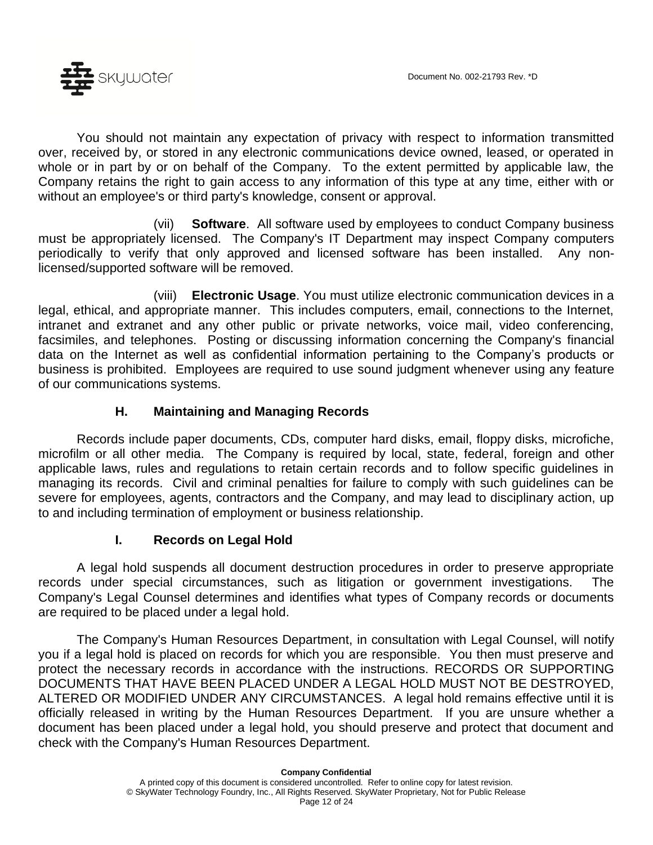You should not maintain any expectation of privacy with respect to information transmitted over, received by, or stored in any electronic communications device owned, leased, or operated in whole or in part by or on behalf of the Company. To the extent permitted by applicable law, the Company retains the right to gain access to any information of this type at any time, either with or without an employee's or third party's knowledge, consent or approval.

(vii) **Software**. All software used by employees to conduct Company business must be appropriately licensed. The Company's IT Department may inspect Company computers periodically to verify that only approved and licensed software has been installed. Any nonlicensed/supported software will be removed.

(viii) **Electronic Usage**. You must utilize electronic communication devices in a legal, ethical, and appropriate manner. This includes computers, email, connections to the Internet, intranet and extranet and any other public or private networks, voice mail, video conferencing, facsimiles, and telephones. Posting or discussing information concerning the Company's financial data on the Internet as well as confidential information pertaining to the Company's products or business is prohibited. Employees are required to use sound judgment whenever using any feature of our communications systems.

#### **H. Maintaining and Managing Records**

Records include paper documents, CDs, computer hard disks, email, floppy disks, microfiche, microfilm or all other media. The Company is required by local, state, federal, foreign and other applicable laws, rules and regulations to retain certain records and to follow specific guidelines in managing its records. Civil and criminal penalties for failure to comply with such guidelines can be severe for employees, agents, contractors and the Company, and may lead to disciplinary action, up to and including termination of employment or business relationship.

#### **I. Records on Legal Hold**

A legal hold suspends all document destruction procedures in order to preserve appropriate records under special circumstances, such as litigation or government investigations. The Company's Legal Counsel determines and identifies what types of Company records or documents are required to be placed under a legal hold.

The Company's Human Resources Department, in consultation with Legal Counsel, will notify you if a legal hold is placed on records for which you are responsible. You then must preserve and protect the necessary records in accordance with the instructions. RECORDS OR SUPPORTING DOCUMENTS THAT HAVE BEEN PLACED UNDER A LEGAL HOLD MUST NOT BE DESTROYED, ALTERED OR MODIFIED UNDER ANY CIRCUMSTANCES. A legal hold remains effective until it is officially released in writing by the Human Resources Department. If you are unsure whether a document has been placed under a legal hold, you should preserve and protect that document and check with the Company's Human Resources Department.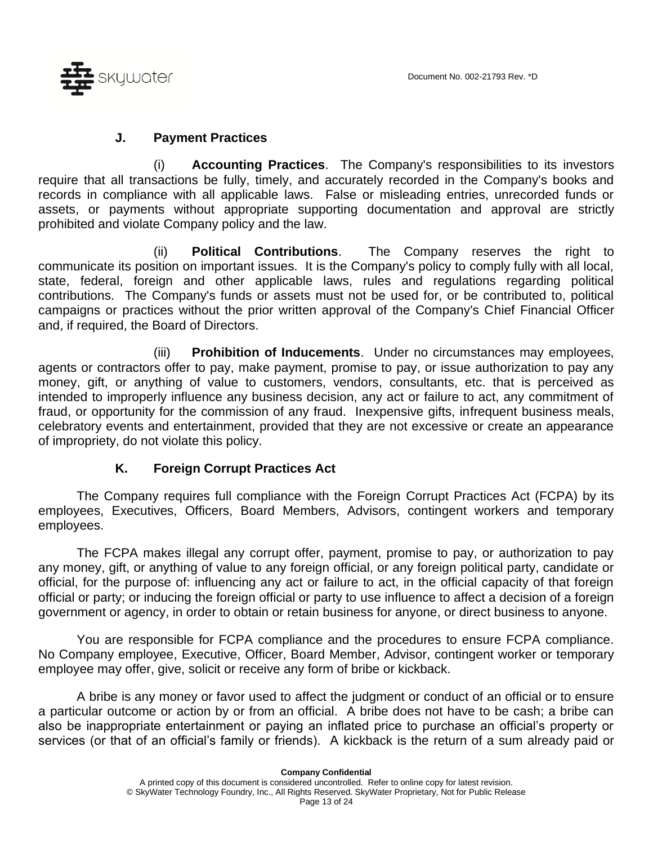

#### **J. Payment Practices**

(i) **Accounting Practices**. The Company's responsibilities to its investors require that all transactions be fully, timely, and accurately recorded in the Company's books and records in compliance with all applicable laws. False or misleading entries, unrecorded funds or assets, or payments without appropriate supporting documentation and approval are strictly prohibited and violate Company policy and the law.

(ii) **Political Contributions**. The Company reserves the right to communicate its position on important issues. It is the Company's policy to comply fully with all local, state, federal, foreign and other applicable laws, rules and regulations regarding political contributions. The Company's funds or assets must not be used for, or be contributed to, political campaigns or practices without the prior written approval of the Company's Chief Financial Officer and, if required, the Board of Directors.

(iii) **Prohibition of Inducements**. Under no circumstances may employees, agents or contractors offer to pay, make payment, promise to pay, or issue authorization to pay any money, gift, or anything of value to customers, vendors, consultants, etc. that is perceived as intended to improperly influence any business decision, any act or failure to act, any commitment of fraud, or opportunity for the commission of any fraud. Inexpensive gifts, infrequent business meals, celebratory events and entertainment, provided that they are not excessive or create an appearance of impropriety, do not violate this policy.

### **K. Foreign Corrupt Practices Act**

The Company requires full compliance with the Foreign Corrupt Practices Act (FCPA) by its employees, Executives, Officers, Board Members, Advisors, contingent workers and temporary employees.

The FCPA makes illegal any corrupt offer, payment, promise to pay, or authorization to pay any money, gift, or anything of value to any foreign official, or any foreign political party, candidate or official, for the purpose of: influencing any act or failure to act, in the official capacity of that foreign official or party; or inducing the foreign official or party to use influence to affect a decision of a foreign government or agency, in order to obtain or retain business for anyone, or direct business to anyone.

You are responsible for FCPA compliance and the procedures to ensure FCPA compliance. No Company employee, Executive, Officer, Board Member, Advisor, contingent worker or temporary employee may offer, give, solicit or receive any form of bribe or kickback.

A bribe is any money or favor used to affect the judgment or conduct of an official or to ensure a particular outcome or action by or from an official. A bribe does not have to be cash; a bribe can also be inappropriate entertainment or paying an inflated price to purchase an official's property or services (or that of an official's family or friends). A kickback is the return of a sum already paid or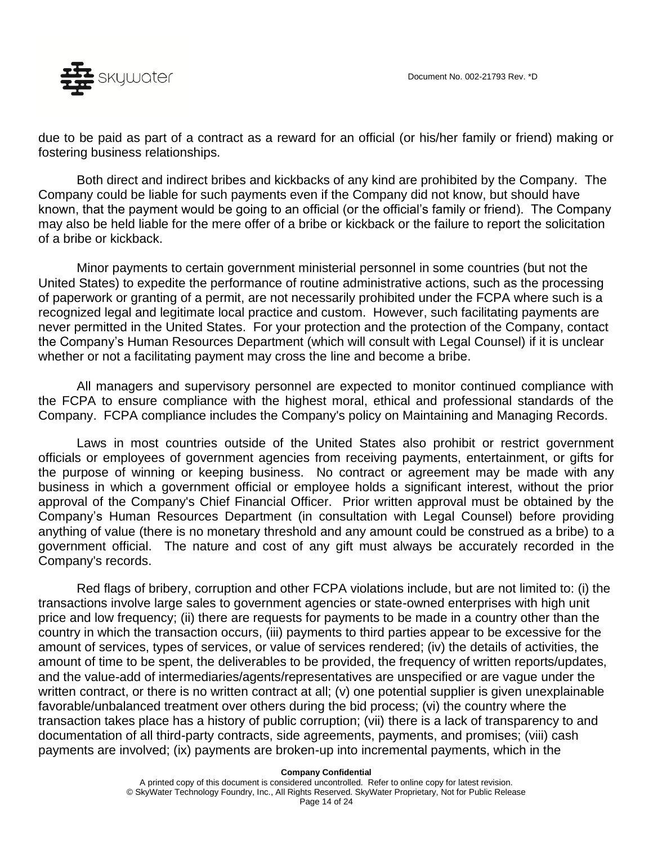

due to be paid as part of a contract as a reward for an official (or his/her family or friend) making or fostering business relationships.

Both direct and indirect bribes and kickbacks of any kind are prohibited by the Company. The Company could be liable for such payments even if the Company did not know, but should have known, that the payment would be going to an official (or the official's family or friend). The Company may also be held liable for the mere offer of a bribe or kickback or the failure to report the solicitation of a bribe or kickback.

Minor payments to certain government ministerial personnel in some countries (but not the United States) to expedite the performance of routine administrative actions, such as the processing of paperwork or granting of a permit, are not necessarily prohibited under the FCPA where such is a recognized legal and legitimate local practice and custom. However, such facilitating payments are never permitted in the United States. For your protection and the protection of the Company, contact the Company's Human Resources Department (which will consult with Legal Counsel) if it is unclear whether or not a facilitating payment may cross the line and become a bribe.

All managers and supervisory personnel are expected to monitor continued compliance with the FCPA to ensure compliance with the highest moral, ethical and professional standards of the Company. FCPA compliance includes the Company's policy on Maintaining and Managing Records.

Laws in most countries outside of the United States also prohibit or restrict government officials or employees of government agencies from receiving payments, entertainment, or gifts for the purpose of winning or keeping business. No contract or agreement may be made with any business in which a government official or employee holds a significant interest, without the prior approval of the Company's Chief Financial Officer. Prior written approval must be obtained by the Company's Human Resources Department (in consultation with Legal Counsel) before providing anything of value (there is no monetary threshold and any amount could be construed as a bribe) to a government official. The nature and cost of any gift must always be accurately recorded in the Company's records.

Red flags of bribery, corruption and other FCPA violations include, but are not limited to: (i) the transactions involve large sales to government agencies or state-owned enterprises with high unit price and low frequency; (ii) there are requests for payments to be made in a country other than the country in which the transaction occurs, (iii) payments to third parties appear to be excessive for the amount of services, types of services, or value of services rendered; (iv) the details of activities, the amount of time to be spent, the deliverables to be provided, the frequency of written reports/updates, and the value-add of intermediaries/agents/representatives are unspecified or are vague under the written contract, or there is no written contract at all; (v) one potential supplier is given unexplainable favorable/unbalanced treatment over others during the bid process; (vi) the country where the transaction takes place has a history of public corruption; (vii) there is a lack of transparency to and documentation of all third-party contracts, side agreements, payments, and promises; (viii) cash payments are involved; (ix) payments are broken-up into incremental payments, which in the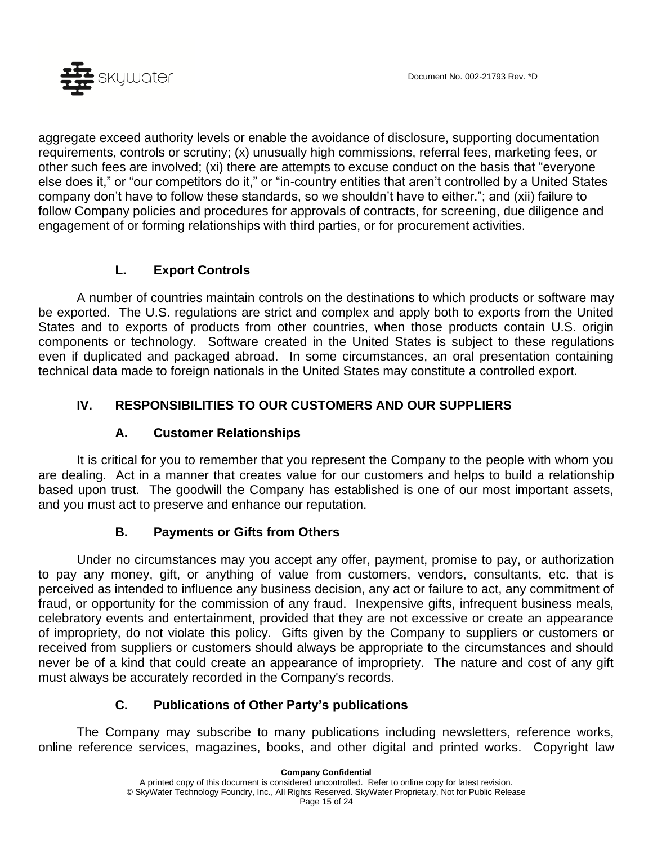

aggregate exceed authority levels or enable the avoidance of disclosure, supporting documentation requirements, controls or scrutiny; (x) unusually high commissions, referral fees, marketing fees, or other such fees are involved; (xi) there are attempts to excuse conduct on the basis that "everyone else does it," or "our competitors do it," or "in-country entities that aren't controlled by a United States company don't have to follow these standards, so we shouldn't have to either."; and (xii) failure to follow Company policies and procedures for approvals of contracts, for screening, due diligence and engagement of or forming relationships with third parties, or for procurement activities.

### **L. Export Controls**

A number of countries maintain controls on the destinations to which products or software may be exported. The U.S. regulations are strict and complex and apply both to exports from the United States and to exports of products from other countries, when those products contain U.S. origin components or technology. Software created in the United States is subject to these regulations even if duplicated and packaged abroad. In some circumstances, an oral presentation containing technical data made to foreign nationals in the United States may constitute a controlled export.

### **IV. RESPONSIBILITIES TO OUR CUSTOMERS AND OUR SUPPLIERS**

### **A. Customer Relationships**

It is critical for you to remember that you represent the Company to the people with whom you are dealing. Act in a manner that creates value for our customers and helps to build a relationship based upon trust. The goodwill the Company has established is one of our most important assets, and you must act to preserve and enhance our reputation.

### **B. Payments or Gifts from Others**

Under no circumstances may you accept any offer, payment, promise to pay, or authorization to pay any money, gift, or anything of value from customers, vendors, consultants, etc. that is perceived as intended to influence any business decision, any act or failure to act, any commitment of fraud, or opportunity for the commission of any fraud. Inexpensive gifts, infrequent business meals, celebratory events and entertainment, provided that they are not excessive or create an appearance of impropriety, do not violate this policy. Gifts given by the Company to suppliers or customers or received from suppliers or customers should always be appropriate to the circumstances and should never be of a kind that could create an appearance of impropriety. The nature and cost of any gift must always be accurately recorded in the Company's records.

### **C. Publications of Other Party's publications**

The Company may subscribe to many publications including newsletters, reference works, online reference services, magazines, books, and other digital and printed works. Copyright law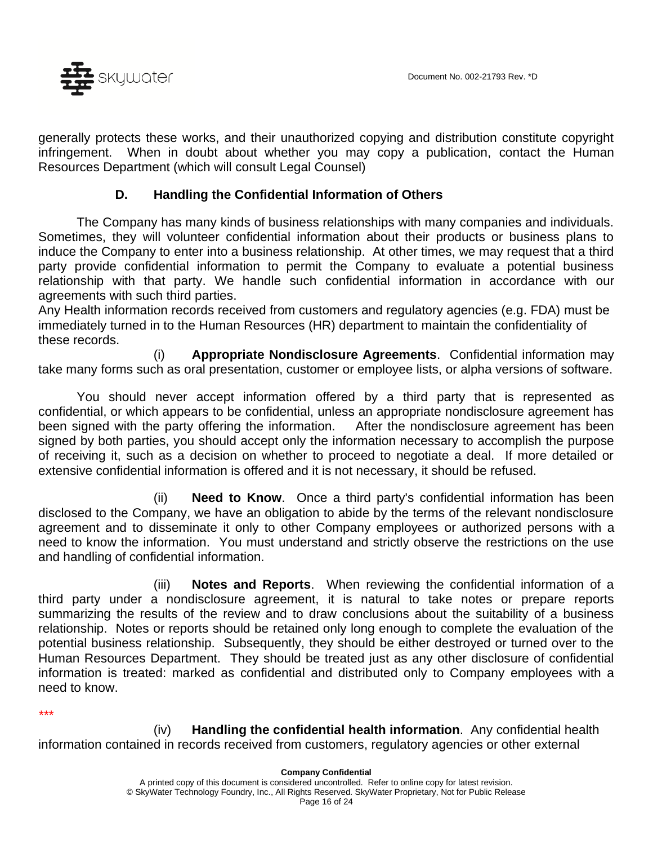

generally protects these works, and their unauthorized copying and distribution constitute copyright infringement. When in doubt about whether you may copy a publication, contact the Human Resources Department (which will consult Legal Counsel)

#### **D. Handling the Confidential Information of Others**

The Company has many kinds of business relationships with many companies and individuals. Sometimes, they will volunteer confidential information about their products or business plans to induce the Company to enter into a business relationship. At other times, we may request that a third party provide confidential information to permit the Company to evaluate a potential business relationship with that party. We handle such confidential information in accordance with our agreements with such third parties.

Any Health information records received from customers and regulatory agencies (e.g. FDA) must be immediately turned in to the Human Resources (HR) department to maintain the confidentiality of these records.

(i) **Appropriate Nondisclosure Agreements**. Confidential information may take many forms such as oral presentation, customer or employee lists, or alpha versions of software.

You should never accept information offered by a third party that is represented as confidential, or which appears to be confidential, unless an appropriate nondisclosure agreement has been signed with the party offering the information. After the nondisclosure agreement has been signed by both parties, you should accept only the information necessary to accomplish the purpose of receiving it, such as a decision on whether to proceed to negotiate a deal. If more detailed or extensive confidential information is offered and it is not necessary, it should be refused.

(ii) **Need to Know**. Once a third party's confidential information has been disclosed to the Company, we have an obligation to abide by the terms of the relevant nondisclosure agreement and to disseminate it only to other Company employees or authorized persons with a need to know the information. You must understand and strictly observe the restrictions on the use and handling of confidential information.

(iii) **Notes and Reports**. When reviewing the confidential information of a third party under a nondisclosure agreement, it is natural to take notes or prepare reports summarizing the results of the review and to draw conclusions about the suitability of a business relationship. Notes or reports should be retained only long enough to complete the evaluation of the potential business relationship. Subsequently, they should be either destroyed or turned over to the Human Resources Department. They should be treated just as any other disclosure of confidential information is treated: marked as confidential and distributed only to Company employees with a need to know.

*\*\*\**

(iv) **Handling the confidential health information**. Any confidential health information contained in records received from customers, regulatory agencies or other external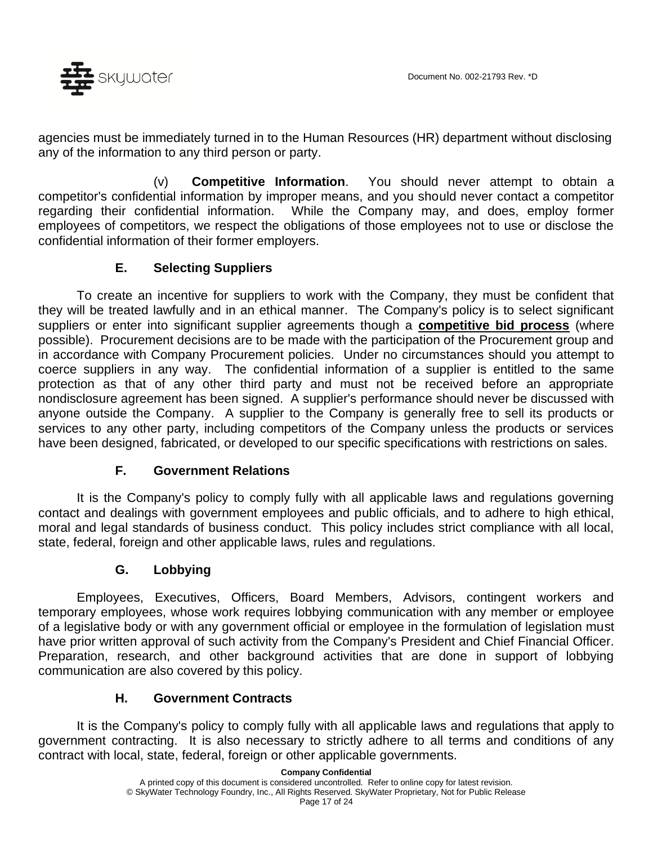

agencies must be immediately turned in to the Human Resources (HR) department without disclosing any of the information to any third person or party.

(v) **Competitive Information**. You should never attempt to obtain a competitor's confidential information by improper means, and you should never contact a competitor regarding their confidential information. While the Company may, and does, employ former employees of competitors, we respect the obligations of those employees not to use or disclose the confidential information of their former employers.

### **E. Selecting Suppliers**

To create an incentive for suppliers to work with the Company, they must be confident that they will be treated lawfully and in an ethical manner. The Company's policy is to select significant suppliers or enter into significant supplier agreements though a **competitive bid process** (where possible). Procurement decisions are to be made with the participation of the Procurement group and in accordance with Company Procurement policies. Under no circumstances should you attempt to coerce suppliers in any way. The confidential information of a supplier is entitled to the same protection as that of any other third party and must not be received before an appropriate nondisclosure agreement has been signed. A supplier's performance should never be discussed with anyone outside the Company. A supplier to the Company is generally free to sell its products or services to any other party, including competitors of the Company unless the products or services have been designed, fabricated, or developed to our specific specifications with restrictions on sales.

### **F. Government Relations**

It is the Company's policy to comply fully with all applicable laws and regulations governing contact and dealings with government employees and public officials, and to adhere to high ethical, moral and legal standards of business conduct. This policy includes strict compliance with all local, state, federal, foreign and other applicable laws, rules and regulations.

#### **G. Lobbying**

Employees, Executives, Officers, Board Members, Advisors, contingent workers and temporary employees, whose work requires lobbying communication with any member or employee of a legislative body or with any government official or employee in the formulation of legislation must have prior written approval of such activity from the Company's President and Chief Financial Officer. Preparation, research, and other background activities that are done in support of lobbying communication are also covered by this policy.

#### **H. Government Contracts**

It is the Company's policy to comply fully with all applicable laws and regulations that apply to government contracting. It is also necessary to strictly adhere to all terms and conditions of any contract with local, state, federal, foreign or other applicable governments.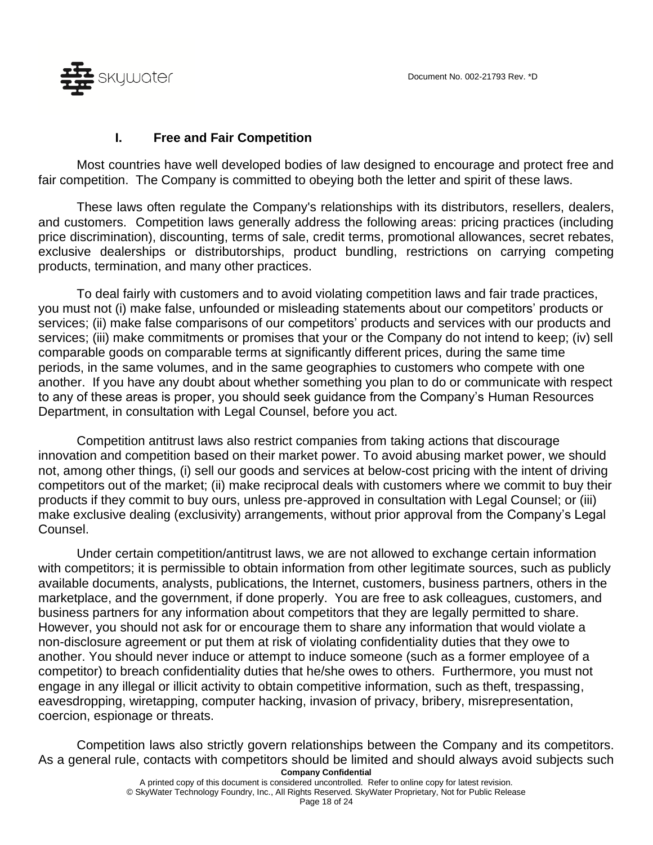

#### **I. Free and Fair Competition**

Most countries have well developed bodies of law designed to encourage and protect free and fair competition. The Company is committed to obeying both the letter and spirit of these laws.

These laws often regulate the Company's relationships with its distributors, resellers, dealers, and customers. Competition laws generally address the following areas: pricing practices (including price discrimination), discounting, terms of sale, credit terms, promotional allowances, secret rebates, exclusive dealerships or distributorships, product bundling, restrictions on carrying competing products, termination, and many other practices.

To deal fairly with customers and to avoid violating competition laws and fair trade practices, you must not (i) make false, unfounded or misleading statements about our competitors' products or services; (ii) make false comparisons of our competitors' products and services with our products and services; (iii) make commitments or promises that your or the Company do not intend to keep; (iv) sell comparable goods on comparable terms at significantly different prices, during the same time periods, in the same volumes, and in the same geographies to customers who compete with one another. If you have any doubt about whether something you plan to do or communicate with respect to any of these areas is proper, you should seek guidance from the Company's Human Resources Department, in consultation with Legal Counsel, before you act.

Competition antitrust laws also restrict companies from taking actions that discourage innovation and competition based on their market power. To avoid abusing market power, we should not, among other things, (i) sell our goods and services at below-cost pricing with the intent of driving competitors out of the market; (ii) make reciprocal deals with customers where we commit to buy their products if they commit to buy ours, unless pre-approved in consultation with Legal Counsel; or (iii) make exclusive dealing (exclusivity) arrangements, without prior approval from the Company's Legal Counsel.

Under certain competition/antitrust laws, we are not allowed to exchange certain information with competitors; it is permissible to obtain information from other legitimate sources, such as publicly available documents, analysts, publications, the Internet, customers, business partners, others in the marketplace, and the government, if done properly. You are free to ask colleagues, customers, and business partners for any information about competitors that they are legally permitted to share. However, you should not ask for or encourage them to share any information that would violate a non-disclosure agreement or put them at risk of violating confidentiality duties that they owe to another. You should never induce or attempt to induce someone (such as a former employee of a competitor) to breach confidentiality duties that he/she owes to others. Furthermore, you must not engage in any illegal or illicit activity to obtain competitive information, such as theft, trespassing, eavesdropping, wiretapping, computer hacking, invasion of privacy, bribery, misrepresentation, coercion, espionage or threats.

**Company Confidential** Competition laws also strictly govern relationships between the Company and its competitors. As a general rule, contacts with competitors should be limited and should always avoid subjects such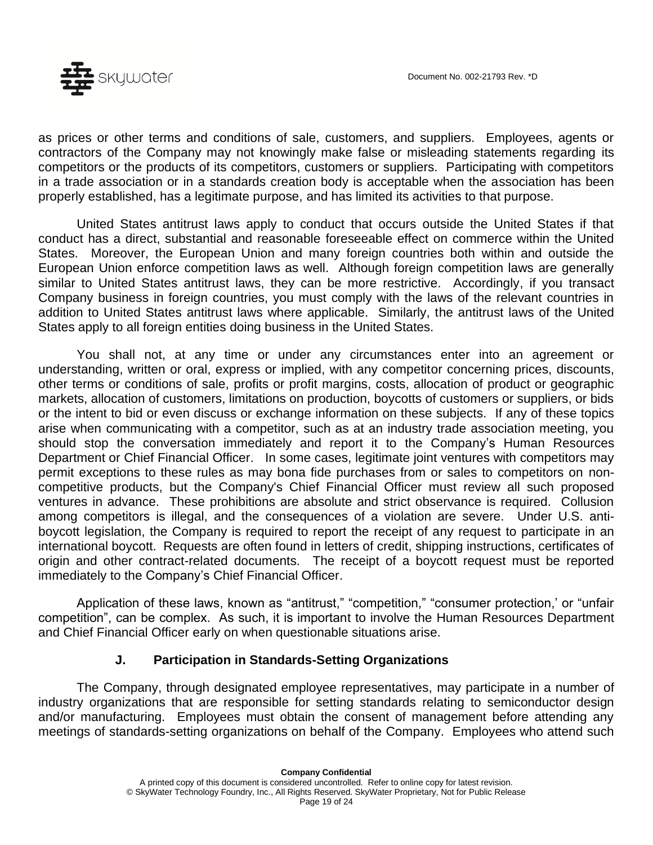

as prices or other terms and conditions of sale, customers, and suppliers. Employees, agents or contractors of the Company may not knowingly make false or misleading statements regarding its competitors or the products of its competitors, customers or suppliers. Participating with competitors in a trade association or in a standards creation body is acceptable when the association has been properly established, has a legitimate purpose, and has limited its activities to that purpose.

United States antitrust laws apply to conduct that occurs outside the United States if that conduct has a direct, substantial and reasonable foreseeable effect on commerce within the United States. Moreover, the European Union and many foreign countries both within and outside the European Union enforce competition laws as well. Although foreign competition laws are generally similar to United States antitrust laws, they can be more restrictive. Accordingly, if you transact Company business in foreign countries, you must comply with the laws of the relevant countries in addition to United States antitrust laws where applicable. Similarly, the antitrust laws of the United States apply to all foreign entities doing business in the United States.

You shall not, at any time or under any circumstances enter into an agreement or understanding, written or oral, express or implied, with any competitor concerning prices, discounts, other terms or conditions of sale, profits or profit margins, costs, allocation of product or geographic markets, allocation of customers, limitations on production, boycotts of customers or suppliers, or bids or the intent to bid or even discuss or exchange information on these subjects. If any of these topics arise when communicating with a competitor, such as at an industry trade association meeting, you should stop the conversation immediately and report it to the Company's Human Resources Department or Chief Financial Officer. In some cases, legitimate joint ventures with competitors may permit exceptions to these rules as may bona fide purchases from or sales to competitors on noncompetitive products, but the Company's Chief Financial Officer must review all such proposed ventures in advance. These prohibitions are absolute and strict observance is required. Collusion among competitors is illegal, and the consequences of a violation are severe. Under U.S. antiboycott legislation, the Company is required to report the receipt of any request to participate in an international boycott. Requests are often found in letters of credit, shipping instructions, certificates of origin and other contract-related documents. The receipt of a boycott request must be reported immediately to the Company's Chief Financial Officer.

Application of these laws, known as "antitrust," "competition," "consumer protection,' or "unfair competition", can be complex. As such, it is important to involve the Human Resources Department and Chief Financial Officer early on when questionable situations arise.

### **J. Participation in Standards-Setting Organizations**

The Company, through designated employee representatives, may participate in a number of industry organizations that are responsible for setting standards relating to semiconductor design and/or manufacturing. Employees must obtain the consent of management before attending any meetings of standards-setting organizations on behalf of the Company. Employees who attend such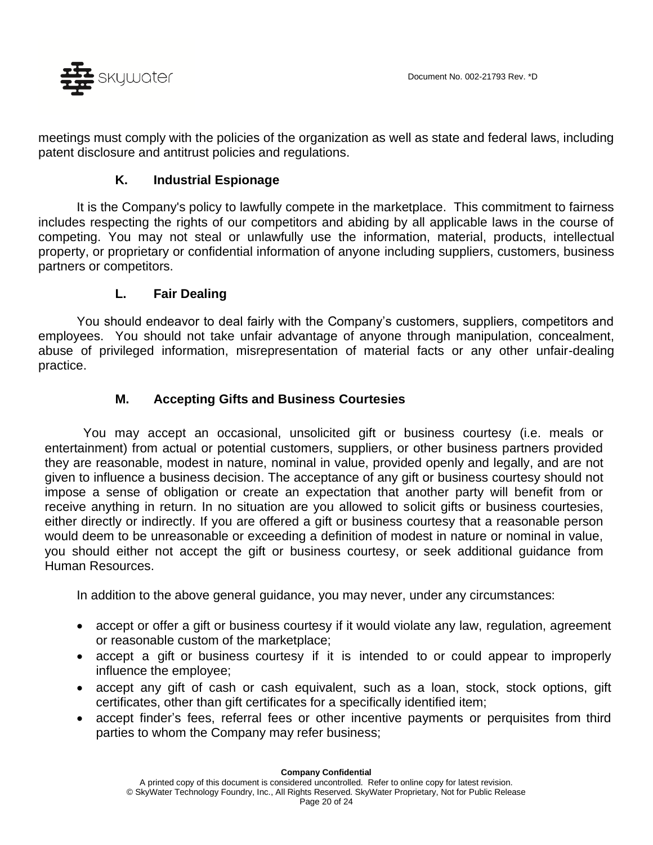

meetings must comply with the policies of the organization as well as state and federal laws, including patent disclosure and antitrust policies and regulations.

#### **K. Industrial Espionage**

It is the Company's policy to lawfully compete in the marketplace. This commitment to fairness includes respecting the rights of our competitors and abiding by all applicable laws in the course of competing. You may not steal or unlawfully use the information, material, products, intellectual property, or proprietary or confidential information of anyone including suppliers, customers, business partners or competitors.

#### **L. Fair Dealing**

You should endeavor to deal fairly with the Company's customers, suppliers, competitors and employees. You should not take unfair advantage of anyone through manipulation, concealment, abuse of privileged information, misrepresentation of material facts or any other unfair-dealing practice.

### **M. Accepting Gifts and Business Courtesies**

You may accept an occasional, unsolicited gift or business courtesy (i.e. meals or entertainment) from actual or potential customers, suppliers, or other business partners provided they are reasonable, modest in nature, nominal in value, provided openly and legally, and are not given to influence a business decision. The acceptance of any gift or business courtesy should not impose a sense of obligation or create an expectation that another party will benefit from or receive anything in return. In no situation are you allowed to solicit gifts or business courtesies, either directly or indirectly. If you are offered a gift or business courtesy that a reasonable person would deem to be unreasonable or exceeding a definition of modest in nature or nominal in value, you should either not accept the gift or business courtesy, or seek additional guidance from Human Resources.

In addition to the above general guidance, you may never, under any circumstances:

- accept or offer a gift or business courtesy if it would violate any law, regulation, agreement or reasonable custom of the marketplace;
- accept a gift or business courtesy if it is intended to or could appear to improperly influence the employee;
- accept any gift of cash or cash equivalent, such as a loan, stock, stock options, gift certificates, other than gift certificates for a specifically identified item;
- accept finder's fees, referral fees or other incentive payments or perquisites from third parties to whom the Company may refer business;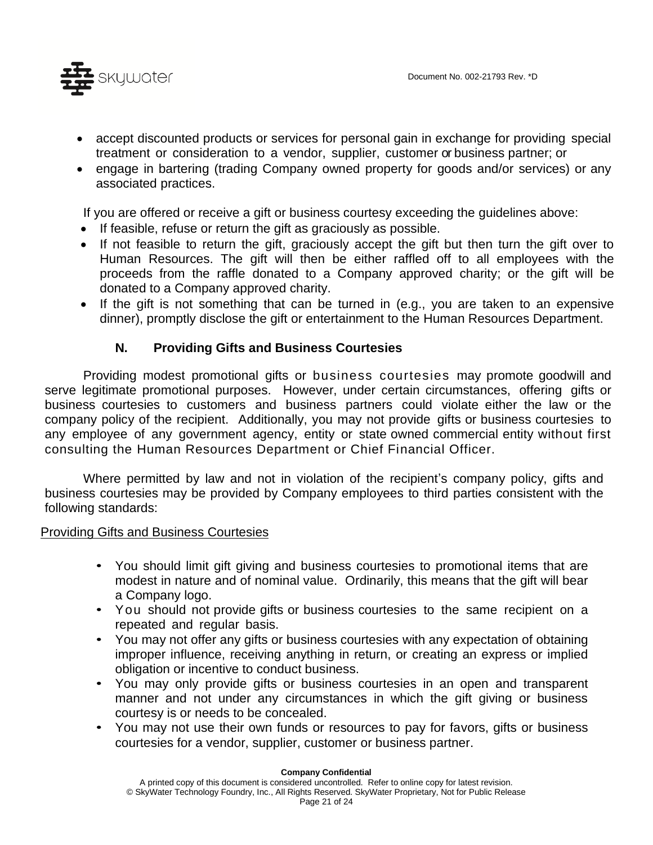

- accept discounted products or services for personal gain in exchange for providing special treatment or consideration to a vendor, supplier, customer or business partner; or
- engage in bartering (trading Company owned property for goods and/or services) or any associated practices.

If you are offered or receive a gift or business courtesy exceeding the guidelines above:

- If feasible, refuse or return the gift as graciously as possible.
- If not feasible to return the gift, graciously accept the gift but then turn the gift over to Human Resources. The gift will then be either raffled off to all employees with the proceeds from the raffle [donated to a Company](http://humanresources.about.com/od/involvementteams/qt/corporate_philanthropy.htm) approved charity; or the gift will be donated to a Company approved charity.
- If the gift is not something that can be turned in (e.g., you are taken to an expensive dinner), promptly disclose the gift or entertainment to the Human Resources Department.

#### **N. Providing Gifts and Business Courtesies**

Providing modest promotional gifts or business courtesies may promote goodwill and serve legitimate promotional purposes. However, under certain circumstances, offering gifts or business courtesies to customers and business partners could violate either the law or the company policy of the recipient. Additionally, you may not provide gifts or business courtesies to any employee of any government agency, entity or state owned commercial entity without first consulting the Human Resources Department or Chief Financial Officer.

Where permitted by law and not in violation of the recipient's company policy, gifts and business courtesies may be provided by Company employees to third parties consistent with the following standards:

#### Providing Gifts and Business Courtesies

- You should limit gift giving and business courtesies to promotional items that are modest in nature and of nominal value. Ordinarily, this means that the gift will bear a Company logo.
- You should not provide gifts or business courtesies to the same recipient on a repeated and regular basis.
- You may not offer any gifts or business courtesies with any expectation of obtaining improper influence, receiving anything in return, or creating an express or implied obligation or incentive to conduct business.
- You may only provide gifts or business courtesies in an open and transparent manner and not under any circumstances in which the gift giving or business courtesy is or needs to be concealed.
- You may not use their own funds or resources to pay for favors, gifts or business courtesies for a vendor, supplier, customer or business partner.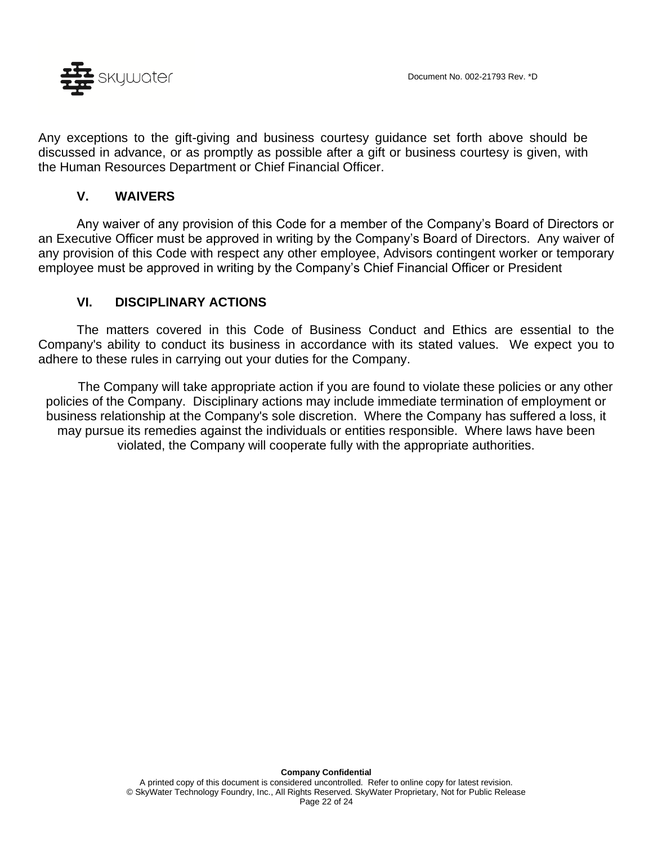

Any exceptions to the gift-giving and business courtesy guidance set forth above should be discussed in advance, or as promptly as possible after a gift or business courtesy is given, with the Human Resources Department or Chief Financial Officer.

#### **V. WAIVERS**

Any waiver of any provision of this Code for a member of the Company's Board of Directors or an Executive Officer must be approved in writing by the Company's Board of Directors. Any waiver of any provision of this Code with respect any other employee, Advisors contingent worker or temporary employee must be approved in writing by the Company's Chief Financial Officer or President

#### **VI. DISCIPLINARY ACTIONS**

The matters covered in this Code of Business Conduct and Ethics are essential to the Company's ability to conduct its business in accordance with its stated values. We expect you to adhere to these rules in carrying out your duties for the Company.

The Company will take appropriate action if you are found to violate these policies or any other policies of the Company. Disciplinary actions may include immediate termination of employment or business relationship at the Company's sole discretion. Where the Company has suffered a loss, it may pursue its remedies against the individuals or entities responsible. Where laws have been violated, the Company will cooperate fully with the appropriate authorities.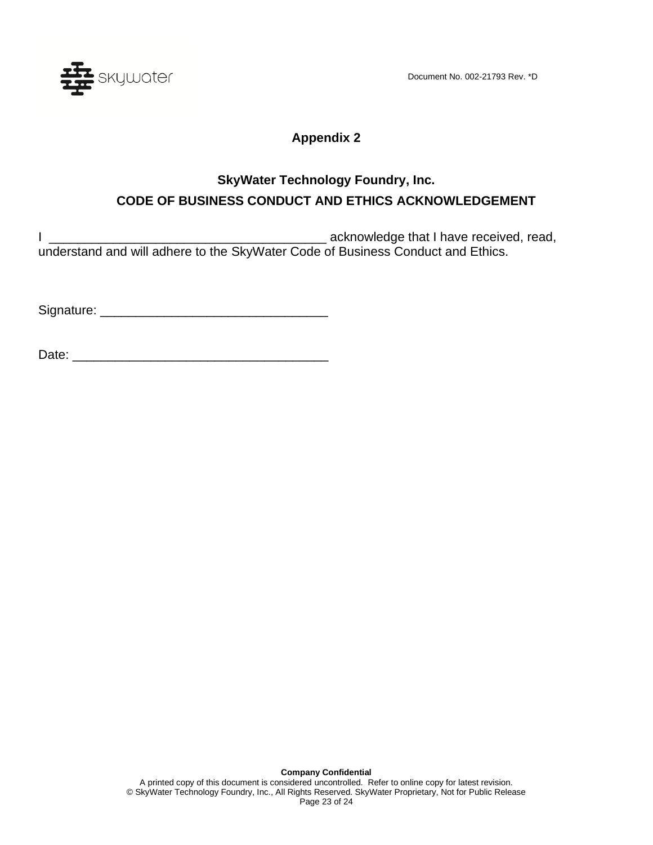Document No. 002-21793 Rev. \*D



### **Appendix 2**

## **SkyWater Technology Foundry, Inc. CODE OF BUSINESS CONDUCT AND ETHICS ACKNOWLEDGEMENT**

I constructed a contract a contract a contract a contract a contract of the contract of the contract of the contract of the contract of the contract of the contract of the contract of the contract of the contract of the co understand and will adhere to the SkyWater Code of Business Conduct and Ethics.

Signature: \_\_\_\_\_\_\_\_\_\_\_\_\_\_\_\_\_\_\_\_\_\_\_\_\_\_\_\_\_\_\_\_

Date: \_\_\_\_\_\_\_\_\_\_\_\_\_\_\_\_\_\_\_\_\_\_\_\_\_\_\_\_\_\_\_\_\_\_\_\_